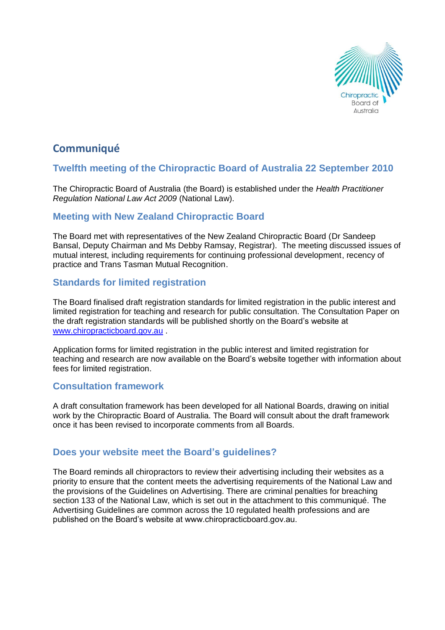

# **Communiqué**

# **Twelfth meeting of the Chiropractic Board of Australia 22 September 2010**

The Chiropractic Board of Australia (the Board) is established under the *Health Practitioner Regulation National Law Act 2009* (National Law).

### **Meeting with New Zealand Chiropractic Board**

The Board met with representatives of the New Zealand Chiropractic Board (Dr Sandeep Bansal, Deputy Chairman and Ms Debby Ramsay, Registrar). The meeting discussed issues of mutual interest, including requirements for continuing professional development, recency of practice and Trans Tasman Mutual Recognition.

# **Standards for limited registration**

The Board finalised draft registration standards for limited registration in the public interest and limited registration for teaching and research for public consultation. The Consultation Paper on the draft registration standards will be published shortly on the Board's website at [www.chiropracticboard.gov.au](http://www.chiropracticboard.gov.au/) .

Application forms for limited registration in the public interest and limited registration for teaching and research are now available on the Board's website together with information about fees for limited registration.

### **Consultation framework**

A draft consultation framework has been developed for all National Boards, drawing on initial work by the Chiropractic Board of Australia. The Board will consult about the draft framework once it has been revised to incorporate comments from all Boards.

### **Does your website meet the Board's guidelines?**

The Board reminds all chiropractors to review their advertising including their websites as a priority to ensure that the content meets the advertising requirements of the National Law and the provisions of the Guidelines on Advertising. There are criminal penalties for breaching section 133 of the National Law, which is set out in the attachment to this communiqué. The Advertising Guidelines are common across the 10 regulated health professions and are published on the Board's website at www.chiropracticboard.gov.au.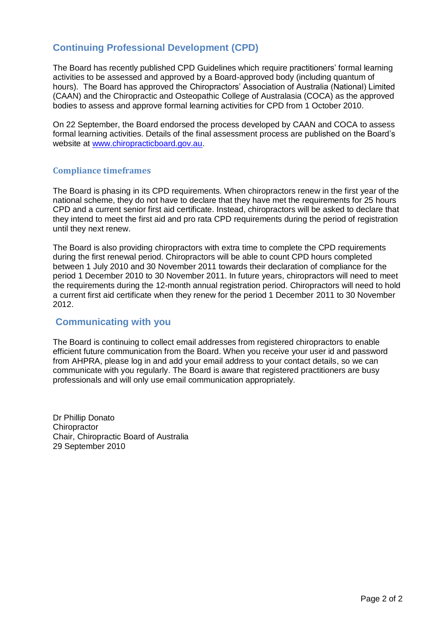# **Continuing Professional Development (CPD)**

The Board has recently published CPD Guidelines which require practitioners' formal learning activities to be assessed and approved by a Board-approved body (including quantum of hours). The Board has approved the Chiropractors' Association of Australia (National) Limited (CAAN) and the Chiropractic and Osteopathic College of Australasia (COCA) as the approved bodies to assess and approve formal learning activities for CPD from 1 October 2010.

On 22 September, the Board endorsed the process developed by CAAN and COCA to assess formal learning activities. Details of the final assessment process are published on the Board's website at [www.chiropracticboard.gov.au.](http://www.chiropracticboard.gov.au/)

### **Compliance timeframes**

The Board is phasing in its CPD requirements. When chiropractors renew in the first year of the national scheme, they do not have to declare that they have met the requirements for 25 hours CPD and a current senior first aid certificate. Instead, chiropractors will be asked to declare that they intend to meet the first aid and pro rata CPD requirements during the period of registration until they next renew.

The Board is also providing chiropractors with extra time to complete the CPD requirements during the first renewal period. Chiropractors will be able to count CPD hours completed between 1 July 2010 and 30 November 2011 towards their declaration of compliance for the period 1 December 2010 to 30 November 2011. In future years, chiropractors will need to meet the requirements during the 12-month annual registration period. Chiropractors will need to hold a current first aid certificate when they renew for the period 1 December 2011 to 30 November 2012.

### **Communicating with you**

The Board is continuing to collect email addresses from registered chiropractors to enable efficient future communication from the Board. When you receive your user id and password from AHPRA, please log in and add your email address to your contact details, so we can communicate with you regularly. The Board is aware that registered practitioners are busy professionals and will only use email communication appropriately.

Dr Phillip Donato **Chiropractor** Chair, Chiropractic Board of Australia 29 September 2010